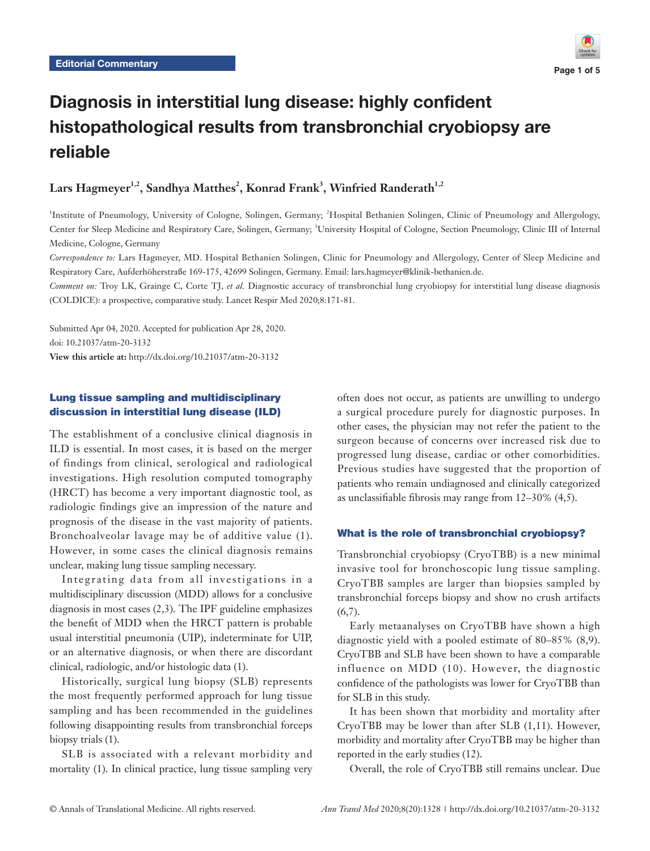

# Diagnosis in interstitial lung disease: highly confident histopathological results from transbronchial cryobiopsy are reliable

# Lars Hagmeyer<sup>1,2</sup>, Sandhya Matthes<sup>2</sup>, Konrad Frank<sup>3</sup>, Winfried Randerath<sup>1,2</sup>

<sup>1</sup>Institute of Pneumology, University of Cologne, Solingen, Germany; <sup>2</sup>Hospital Bethanien Solingen, Clinic of Pneumology and Allergology, Center for Sleep Medicine and Respiratory Care, Solingen, Germany; <sup>3</sup>University Hospital of Cologne, Section Pneumology, Clinic III of Internal Medicine, Cologne, Germany

*Correspondence to:* Lars Hagmeyer, MD. Hospital Bethanien Solingen, Clinic for Pneumology and Allergology, Center of Sleep Medicine and Respiratory Care, Aufderhöherstraße 169-175, 42699 Solingen, Germany. Email: lars.hagmeyer@klinik-bethanien.de.

*Comment on:* Troy LK, Grainge C, Corte TJ, *et al.* Diagnostic accuracy of transbronchial lung cryobiopsy for interstitial lung disease diagnosis (COLDICE): a prospective, comparative study. Lancet Respir Med 2020;8:171-81.

Submitted Apr 04, 2020. Accepted for publication Apr 28, 2020. doi: 10.21037/atm-20-3132 **View this article at:** http://dx.doi.org/10.21037/atm-20-3132

# Lung tissue sampling and multidisciplinary discussion in interstitial lung disease (ILD)

The establishment of a conclusive clinical diagnosis in ILD is essential. In most cases, it is based on the merger of findings from clinical, serological and radiological investigations. High resolution computed tomography (HRCT) has become a very important diagnostic tool, as radiologic findings give an impression of the nature and prognosis of the disease in the vast majority of patients. Bronchoalveolar lavage may be of additive value (1). However, in some cases the clinical diagnosis remains unclear, making lung tissue sampling necessary.

Integrating data from all investigations in a multidisciplinary discussion (MDD) allows for a conclusive diagnosis in most cases (2,3). The IPF guideline emphasizes the benefit of MDD when the HRCT pattern is probable usual interstitial pneumonia (UIP), indeterminate for UIP, or an alternative diagnosis, or when there are discordant clinical, radiologic, and/or histologic data (1).

Historically, surgical lung biopsy (SLB) represents the most frequently performed approach for lung tissue sampling and has been recommended in the guidelines following disappointing results from transbronchial forceps biopsy trials (1).

SLB is associated with a relevant morbidity and mortality (1). In clinical practice, lung tissue sampling very often does not occur, as patients are unwilling to undergo a surgical procedure purely for diagnostic purposes. In other cases, the physician may not refer the patient to the surgeon because of concerns over increased risk due to progressed lung disease, cardiac or other comorbidities. Previous studies have suggested that the proportion of patients who remain undiagnosed and clinically categorized as unclassifiable fibrosis may range from 12–30% (4,5).

#### What is the role of transbronchial cryobiopsy?

Transbronchial cryobiopsy (CryoTBB) is a new minimal invasive tool for bronchoscopic lung tissue sampling. CryoTBB samples are larger than biopsies sampled by transbronchial forceps biopsy and show no crush artifacts  $(6,7).$ 

Early metaanalyses on CryoTBB have shown a high diagnostic yield with a pooled estimate of 80–85% (8,9). CryoTBB and SLB have been shown to have a comparable influence on MDD (10). However, the diagnostic confidence of the pathologists was lower for CryoTBB than for SLB in this study.

It has been shown that morbidity and mortality after CryoTBB may be lower than after SLB (1,11). However, morbidity and mortality after CryoTBB may be higher than reported in the early studies (12).

Overall, the role of CryoTBB still remains unclear. Due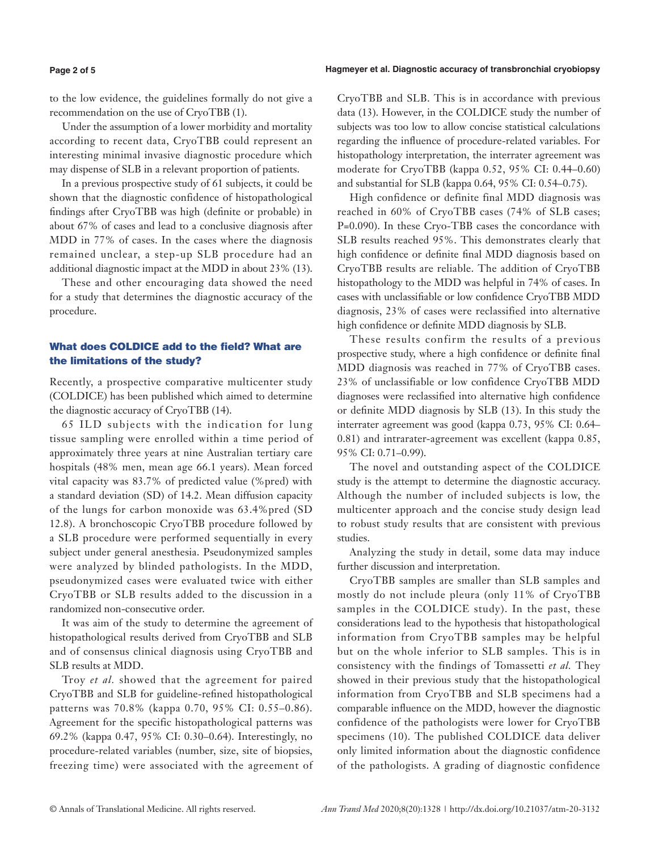#### **Page 2 of 5**

to the low evidence, the guidelines formally do not give a recommendation on the use of CryoTBB (1).

Under the assumption of a lower morbidity and mortality according to recent data, CryoTBB could represent an interesting minimal invasive diagnostic procedure which may dispense of SLB in a relevant proportion of patients.

In a previous prospective study of 61 subjects, it could be shown that the diagnostic confidence of histopathological findings after CryoTBB was high (definite or probable) in about 67% of cases and lead to a conclusive diagnosis after MDD in 77% of cases. In the cases where the diagnosis remained unclear, a step-up SLB procedure had an additional diagnostic impact at the MDD in about 23% (13).

These and other encouraging data showed the need for a study that determines the diagnostic accuracy of the procedure.

# What does COLDICE add to the field? What are the limitations of the study?

Recently, a prospective comparative multicenter study (COLDICE) has been published which aimed to determine the diagnostic accuracy of CryoTBB (14).

65 ILD subjects with the indication for lung tissue sampling were enrolled within a time period of approximately three years at nine Australian tertiary care hospitals (48% men, mean age 66.1 years). Mean forced vital capacity was 83.7% of predicted value (%pred) with a standard deviation (SD) of 14.2. Mean diffusion capacity of the lungs for carbon monoxide was 63.4%pred (SD 12.8). A bronchoscopic CryoTBB procedure followed by a SLB procedure were performed sequentially in every subject under general anesthesia. Pseudonymized samples were analyzed by blinded pathologists. In the MDD, pseudonymized cases were evaluated twice with either CryoTBB or SLB results added to the discussion in a randomized non-consecutive order.

It was aim of the study to determine the agreement of histopathological results derived from CryoTBB and SLB and of consensus clinical diagnosis using CryoTBB and SLB results at MDD.

Troy *et al.* showed that the agreement for paired CryoTBB and SLB for guideline-refined histopathological patterns was 70.8% (kappa 0.70, 95% CI: 0.55–0.86). Agreement for the specific histopathological patterns was 69.2% (kappa 0.47, 95% CI: 0.30–0.64). Interestingly, no procedure-related variables (number, size, site of biopsies, freezing time) were associated with the agreement of

CryoTBB and SLB. This is in accordance with previous data (13). However, in the COLDICE study the number of subjects was too low to allow concise statistical calculations regarding the influence of procedure-related variables. For histopathology interpretation, the interrater agreement was moderate for CryoTBB (kappa 0.52, 95% CI: 0.44–0.60) and substantial for SLB (kappa 0.64, 95% CI: 0.54–0.75).

High confidence or definite final MDD diagnosis was reached in 60% of CryoTBB cases (74% of SLB cases; P=0.090). In these Cryo-TBB cases the concordance with SLB results reached 95%. This demonstrates clearly that high confidence or definite final MDD diagnosis based on CryoTBB results are reliable. The addition of CryoTBB histopathology to the MDD was helpful in 74% of cases. In cases with unclassifiable or low confidence CryoTBB MDD diagnosis, 23% of cases were reclassified into alternative high confidence or definite MDD diagnosis by SLB.

These results confirm the results of a previous prospective study, where a high confidence or definite final MDD diagnosis was reached in 77% of CryoTBB cases. 23% of unclassifiable or low confidence CryoTBB MDD diagnoses were reclassified into alternative high confidence or definite MDD diagnosis by SLB (13). In this study the interrater agreement was good (kappa 0.73, 95% CI: 0.64– 0.81) and intrarater-agreement was excellent (kappa 0.85, 95% CI: 0.71–0.99).

The novel and outstanding aspect of the COLDICE study is the attempt to determine the diagnostic accuracy. Although the number of included subjects is low, the multicenter approach and the concise study design lead to robust study results that are consistent with previous studies.

Analyzing the study in detail, some data may induce further discussion and interpretation.

CryoTBB samples are smaller than SLB samples and mostly do not include pleura (only 11% of CryoTBB samples in the COLDICE study). In the past, these considerations lead to the hypothesis that histopathological information from CryoTBB samples may be helpful but on the whole inferior to SLB samples. This is in consistency with the findings of Tomassetti *et al.* They showed in their previous study that the histopathological information from CryoTBB and SLB specimens had a comparable influence on the MDD, however the diagnostic confidence of the pathologists were lower for CryoTBB specimens (10). The published COLDICE data deliver only limited information about the diagnostic confidence of the pathologists. A grading of diagnostic confidence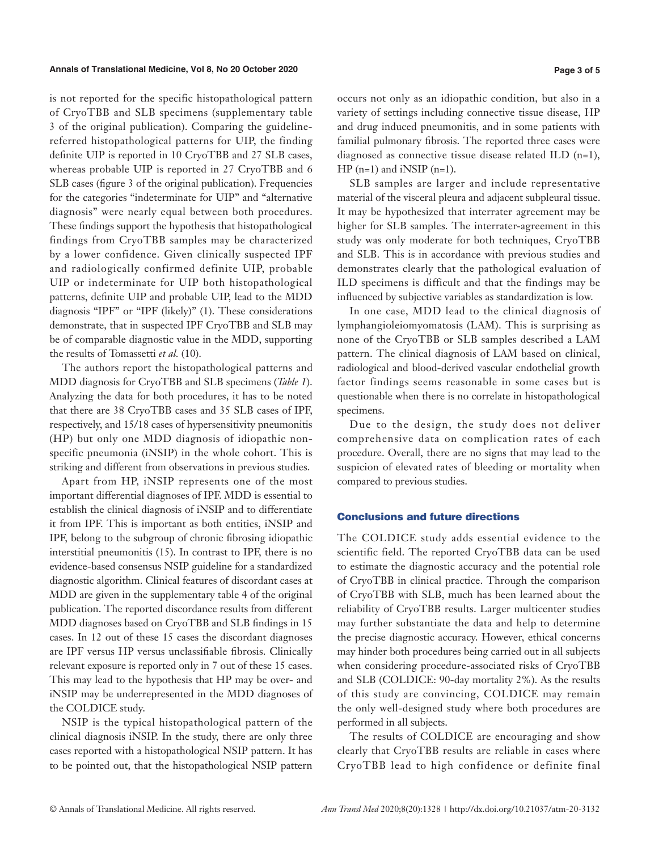#### Annals of Translational Medicine, Vol 8, No 20 October 2020 **Page 3 of 5 Page 3 of 5 Page 3 of 5**

is not reported for the specific histopathological pattern of CryoTBB and SLB specimens (supplementary table 3 of the original publication). Comparing the guidelinereferred histopathological patterns for UIP, the finding definite UIP is reported in 10 CryoTBB and 27 SLB cases, whereas probable UIP is reported in 27 CryoTBB and 6 SLB cases (figure 3 of the original publication). Frequencies for the categories "indeterminate for UIP" and "alternative diagnosis" were nearly equal between both procedures. These findings support the hypothesis that histopathological findings from CryoTBB samples may be characterized by a lower confidence. Given clinically suspected IPF and radiologically confirmed definite UIP, probable UIP or indeterminate for UIP both histopathological patterns, definite UIP and probable UIP, lead to the MDD diagnosis "IPF" or "IPF (likely)" (1). These considerations demonstrate, that in suspected IPF CryoTBB and SLB may be of comparable diagnostic value in the MDD, supporting the results of Tomassetti *et al.* (10).

The authors report the histopathological patterns and MDD diagnosis for CryoTBB and SLB specimens (*Table 1*). Analyzing the data for both procedures, it has to be noted that there are 38 CryoTBB cases and 35 SLB cases of IPF, respectively, and 15/18 cases of hypersensitivity pneumonitis (HP) but only one MDD diagnosis of idiopathic nonspecific pneumonia (iNSIP) in the whole cohort. This is striking and different from observations in previous studies.

Apart from HP, iNSIP represents one of the most important differential diagnoses of IPF. MDD is essential to establish the clinical diagnosis of iNSIP and to differentiate it from IPF. This is important as both entities, iNSIP and IPF, belong to the subgroup of chronic fibrosing idiopathic interstitial pneumonitis (15). In contrast to IPF, there is no evidence-based consensus NSIP guideline for a standardized diagnostic algorithm. Clinical features of discordant cases at MDD are given in the supplementary table 4 of the original publication. The reported discordance results from different MDD diagnoses based on CryoTBB and SLB findings in 15 cases. In 12 out of these 15 cases the discordant diagnoses are IPF versus HP versus unclassifiable fibrosis. Clinically relevant exposure is reported only in 7 out of these 15 cases. This may lead to the hypothesis that HP may be over- and iNSIP may be underrepresented in the MDD diagnoses of the COLDICE study.

NSIP is the typical histopathological pattern of the clinical diagnosis iNSIP. In the study, there are only three cases reported with a histopathological NSIP pattern. It has to be pointed out, that the histopathological NSIP pattern

occurs not only as an idiopathic condition, but also in a variety of settings including connective tissue disease, HP and drug induced pneumonitis, and in some patients with familial pulmonary fibrosis. The reported three cases were diagnosed as connective tissue disease related ILD (n=1), HP (n=1) and iNSIP (n=1).

SLB samples are larger and include representative material of the visceral pleura and adjacent subpleural tissue. It may be hypothesized that interrater agreement may be higher for SLB samples. The interrater-agreement in this study was only moderate for both techniques, CryoTBB and SLB. This is in accordance with previous studies and demonstrates clearly that the pathological evaluation of ILD specimens is difficult and that the findings may be influenced by subjective variables as standardization is low.

In one case, MDD lead to the clinical diagnosis of lymphangioleiomyomatosis (LAM). This is surprising as none of the CryoTBB or SLB samples described a LAM pattern. The clinical diagnosis of LAM based on clinical, radiological and blood-derived vascular endothelial growth factor findings seems reasonable in some cases but is questionable when there is no correlate in histopathological specimens.

Due to the design, the study does not deliver comprehensive data on complication rates of each procedure. Overall, there are no signs that may lead to the suspicion of elevated rates of bleeding or mortality when compared to previous studies.

### Conclusions and future directions

The COLDICE study adds essential evidence to the scientific field. The reported CryoTBB data can be used to estimate the diagnostic accuracy and the potential role of CryoTBB in clinical practice. Through the comparison of CryoTBB with SLB, much has been learned about the reliability of CryoTBB results. Larger multicenter studies may further substantiate the data and help to determine the precise diagnostic accuracy. However, ethical concerns may hinder both procedures being carried out in all subjects when considering procedure-associated risks of CryoTBB and SLB (COLDICE: 90-day mortality 2%). As the results of this study are convincing, COLDICE may remain the only well-designed study where both procedures are performed in all subjects.

The results of COLDICE are encouraging and show clearly that CryoTBB results are reliable in cases where CryoTBB lead to high confidence or definite final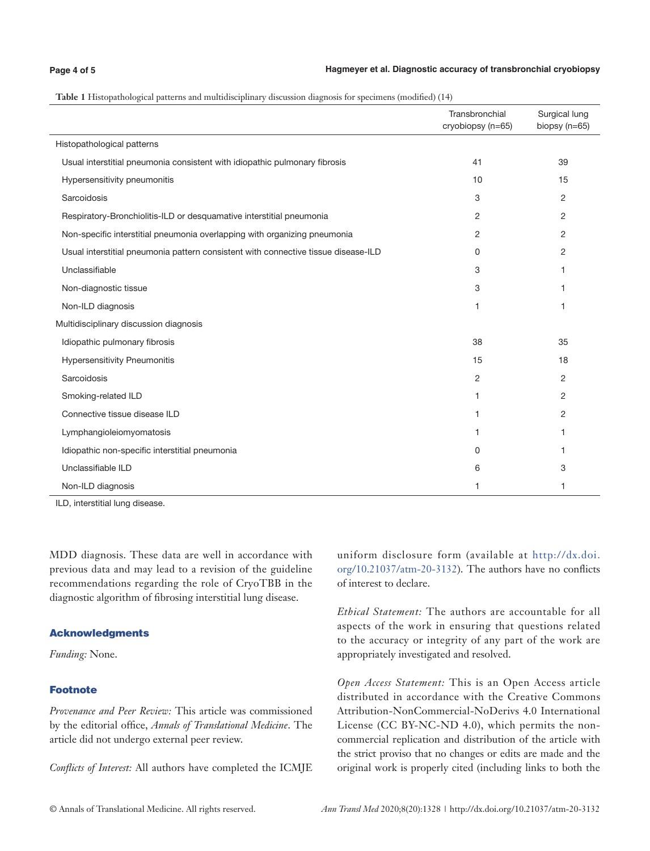#### **Hagmeyer et al. Diagnostic accuracy of transbronchial cryobiopsy**

|  | Table 1 Histopathological patterns and multidisciplinary discussion diagnosis for specimens (modified) (14) |  |  |  |
|--|-------------------------------------------------------------------------------------------------------------|--|--|--|
|  |                                                                                                             |  |  |  |

|                                                                                    | Transbronchial<br>cryobiopsy (n=65) | Surgical lung<br>biopsy (n=65) |
|------------------------------------------------------------------------------------|-------------------------------------|--------------------------------|
| Histopathological patterns                                                         |                                     |                                |
| Usual interstitial pneumonia consistent with idiopathic pulmonary fibrosis         | 41                                  | 39                             |
| Hypersensitivity pneumonitis                                                       | 10                                  | 15                             |
| Sarcoidosis                                                                        | 3                                   | $\overline{2}$                 |
| Respiratory-Bronchiolitis-ILD or desquamative interstitial pneumonia               | 2                                   | 2                              |
| Non-specific interstitial pneumonia overlapping with organizing pneumonia          | 2                                   | 2                              |
| Usual interstitial pneumonia pattern consistent with connective tissue disease-ILD | 0                                   | 2                              |
| Unclassifiable                                                                     | 3                                   | 1                              |
| Non-diagnostic tissue                                                              | 3                                   | 1                              |
| Non-ILD diagnosis                                                                  | 1                                   | $\mathbf{1}$                   |
| Multidisciplinary discussion diagnosis                                             |                                     |                                |
| Idiopathic pulmonary fibrosis                                                      | 38                                  | 35                             |
| <b>Hypersensitivity Pneumonitis</b>                                                | 15                                  | 18                             |
| Sarcoidosis                                                                        | 2                                   | 2                              |
| Smoking-related ILD                                                                | 1                                   | 2                              |
| Connective tissue disease ILD                                                      | 1                                   | 2                              |
| Lymphangioleiomyomatosis                                                           |                                     | 1                              |
| Idiopathic non-specific interstitial pneumonia                                     | 0                                   | 1                              |
| Unclassifiable ILD                                                                 | 6                                   | 3                              |
| Non-ILD diagnosis                                                                  |                                     | 1                              |

ILD, interstitial lung disease.

MDD diagnosis. These data are well in accordance with previous data and may lead to a revision of the guideline recommendations regarding the role of CryoTBB in the diagnostic algorithm of fibrosing interstitial lung disease.

## Acknowledgments

*Funding:* None.

#### Footnote

*Provenance and Peer Review:* This article was commissioned by the editorial office, *Annals of Translational Medicine*. The article did not undergo external peer review.

*Conflicts of Interest:* All authors have completed the ICMJE

uniform disclosure form (available at [http://dx.doi.](http://dx.doi.org/10.21037/atm-20-3132) [org/10.21037/atm-20-3132](http://dx.doi.org/10.21037/atm-20-3132)). The authors have no conflicts of interest to declare.

*Ethical Statement:* The authors are accountable for all aspects of the work in ensuring that questions related to the accuracy or integrity of any part of the work are appropriately investigated and resolved.

*Open Access Statement:* This is an Open Access article distributed in accordance with the Creative Commons Attribution-NonCommercial-NoDerivs 4.0 International License (CC BY-NC-ND 4.0), which permits the noncommercial replication and distribution of the article with the strict proviso that no changes or edits are made and the original work is properly cited (including links to both the